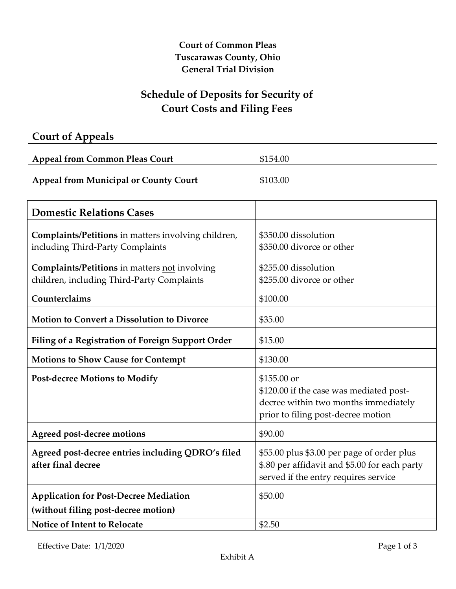#### **Court of Common Pleas Tuscarawas County, Ohio General Trial Division**

### **Schedule of Deposits for Security of Court Costs and Filing Fees**

## **Court of Appeals**

| Appeal from Common Pleas Court               | \$154.00 |
|----------------------------------------------|----------|
| <b>Appeal from Municipal or County Court</b> | \$103.00 |
|                                              |          |

| <b>Domestic Relations Cases</b>                                                                    |                                                                                                                                      |
|----------------------------------------------------------------------------------------------------|--------------------------------------------------------------------------------------------------------------------------------------|
| Complaints/Petitions in matters involving children,<br>including Third-Party Complaints            | \$350.00 dissolution<br>\$350.00 divorce or other                                                                                    |
| <b>Complaints/Petitions in matters not involving</b><br>children, including Third-Party Complaints | \$255.00 dissolution<br>\$255.00 divorce or other                                                                                    |
| Counterclaims                                                                                      | \$100.00                                                                                                                             |
| <b>Motion to Convert a Dissolution to Divorce</b>                                                  | \$35.00                                                                                                                              |
| <b>Filing of a Registration of Foreign Support Order</b>                                           | \$15.00                                                                                                                              |
| <b>Motions to Show Cause for Contempt</b>                                                          | \$130.00                                                                                                                             |
| <b>Post-decree Motions to Modify</b>                                                               | \$155.00 or<br>\$120.00 if the case was mediated post-<br>decree within two months immediately<br>prior to filing post-decree motion |
| <b>Agreed post-decree motions</b>                                                                  | \$90.00                                                                                                                              |
| Agreed post-decree entries including QDRO's filed<br>after final decree                            | \$55.00 plus \$3.00 per page of order plus<br>\$.80 per affidavit and \$5.00 for each party<br>served if the entry requires service  |
| <b>Application for Post-Decree Mediation</b><br>(without filing post-decree motion)                | \$50.00                                                                                                                              |
| <b>Notice of Intent to Relocate</b>                                                                | \$2.50                                                                                                                               |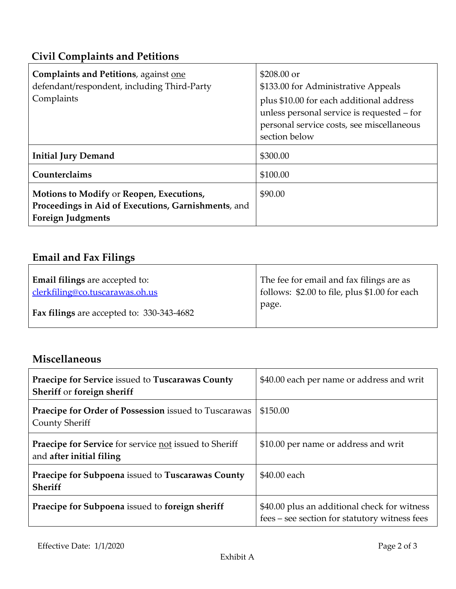# **Civil Complaints and Petitions**

| <b>Complaints and Petitions</b> , against one<br>defendant/respondent, including Third-Party<br>Complaints                  | $$208.00$ or<br>\$133.00 for Administrative Appeals<br>plus \$10.00 for each additional address<br>unless personal service is requested - for<br>personal service costs, see miscellaneous<br>section below |
|-----------------------------------------------------------------------------------------------------------------------------|-------------------------------------------------------------------------------------------------------------------------------------------------------------------------------------------------------------|
| <b>Initial Jury Demand</b>                                                                                                  | \$300.00                                                                                                                                                                                                    |
| Counterclaims                                                                                                               | \$100.00                                                                                                                                                                                                    |
| Motions to Modify or Reopen, Executions,<br>Proceedings in Aid of Executions, Garnishments, and<br><b>Foreign Judgments</b> | \$90.00                                                                                                                                                                                                     |

## **Email and Fax Filings**

| <b>Email filings</b> are accepted to:            | The fee for email and fax filings are as      |
|--------------------------------------------------|-----------------------------------------------|
| clerkfiling@co.tuscarawas.oh.us                  | follows: \$2.00 to file, plus \$1.00 for each |
| <b>Fax filings</b> are accepted to: 330-343-4682 | page.                                         |

# **Miscellaneous**

| Praecipe for Service issued to Tuscarawas County<br>Sheriff or foreign sheriff            | \$40.00 each per name or address and writ                                                     |
|-------------------------------------------------------------------------------------------|-----------------------------------------------------------------------------------------------|
| Praecipe for Order of Possession issued to Tuscarawas<br>County Sheriff                   | \$150.00                                                                                      |
| <b>Praecipe for Service</b> for service not issued to Sheriff<br>and after initial filing | \$10.00 per name or address and writ                                                          |
| Praecipe for Subpoena issued to Tuscarawas County<br>Sheriff                              | \$40.00 each                                                                                  |
| Praecipe for Subpoena issued to foreign sheriff                                           | \$40.00 plus an additional check for witness<br>fees – see section for statutory witness fees |